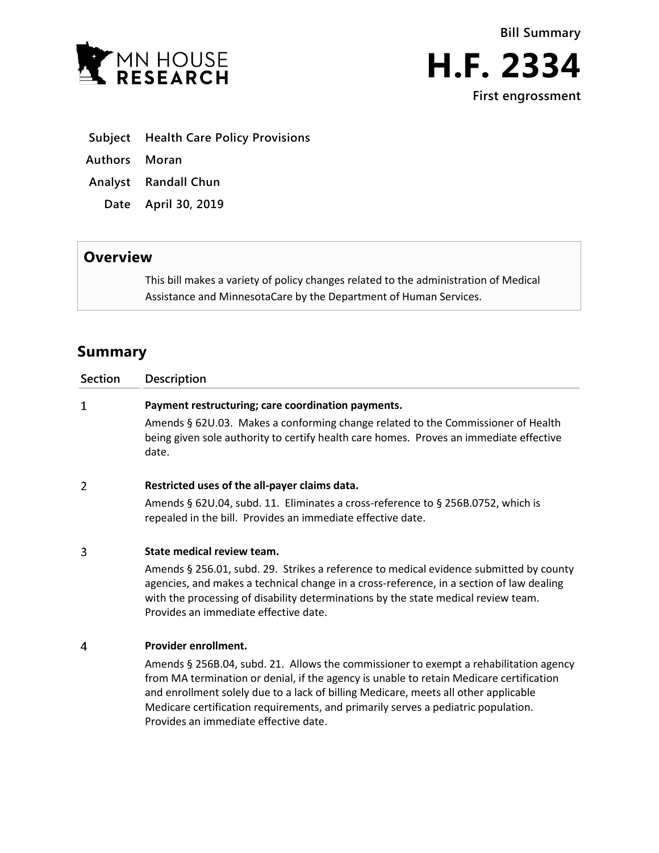





- **Subject Health Care Policy Provisions**
- **Authors Moran**
- **Analyst Randall Chun**
- **Date April 30, 2019**

## **Overview**

This bill makes a variety of policy changes related to the administration of Medical Assistance and MinnesotaCare by the Department of Human Services.

# **Summary**

| <b>Section</b> | <b>Description</b>                                                                                                                                                                                                                                                                                                |
|----------------|-------------------------------------------------------------------------------------------------------------------------------------------------------------------------------------------------------------------------------------------------------------------------------------------------------------------|
| 1              | Payment restructuring; care coordination payments.                                                                                                                                                                                                                                                                |
|                | Amends § 62U.03. Makes a conforming change related to the Commissioner of Health<br>being given sole authority to certify health care homes. Proves an immediate effective<br>date.                                                                                                                               |
| $\overline{2}$ | Restricted uses of the all-payer claims data.                                                                                                                                                                                                                                                                     |
|                | Amends § 62U.04, subd. 11. Eliminates a cross-reference to § 256B.0752, which is<br>repealed in the bill. Provides an immediate effective date.                                                                                                                                                                   |
| 3              | State medical review team.                                                                                                                                                                                                                                                                                        |
|                | Amends § 256.01, subd. 29. Strikes a reference to medical evidence submitted by county<br>agencies, and makes a technical change in a cross-reference, in a section of law dealing<br>with the processing of disability determinations by the state medical review team.<br>Provides an immediate effective date. |
| 4              | Provider enrollment.                                                                                                                                                                                                                                                                                              |
|                | Amends § 256B.04, subd. 21. Allows the commissioner to exempt a rehabilitation agency<br>from MA termination or denial, if the agency is unable to retain Medicare certification                                                                                                                                  |

and enrollment solely due to a lack of billing Medicare, meets all other applicable Medicare certification requirements, and primarily serves a pediatric population. Provides an immediate effective date.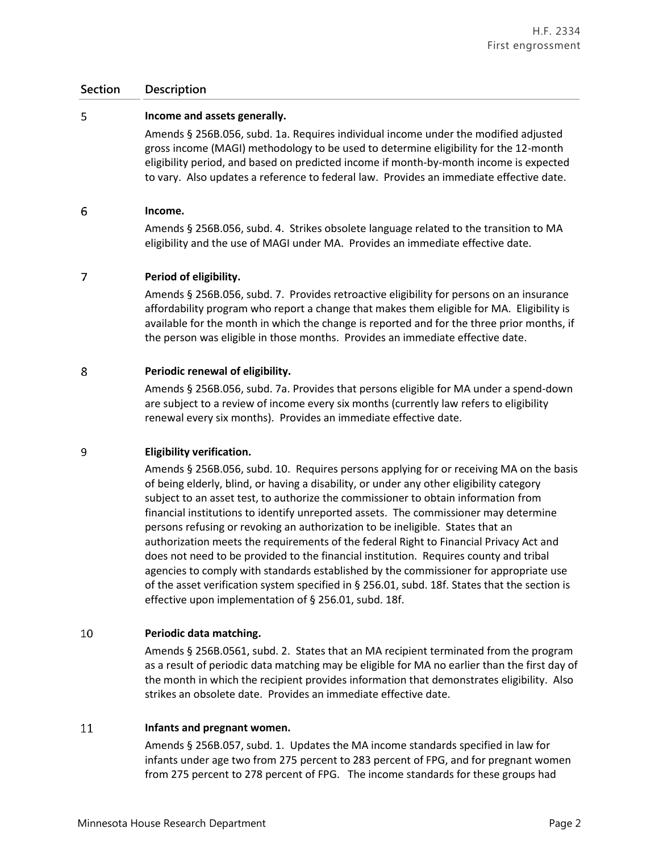### **Section Description**

#### 5 **Income and assets generally.**

Amends § 256B.056, subd. 1a. Requires individual income under the modified adjusted gross income (MAGI) methodology to be used to determine eligibility for the 12-month eligibility period, and based on predicted income if month-by-month income is expected to vary. Also updates a reference to federal law. Provides an immediate effective date.

#### 6 **Income.**

Amends § 256B.056, subd. 4. Strikes obsolete language related to the transition to MA eligibility and the use of MAGI under MA. Provides an immediate effective date.

#### 7 **Period of eligibility.**

Amends § 256B.056, subd. 7. Provides retroactive eligibility for persons on an insurance affordability program who report a change that makes them eligible for MA. Eligibility is available for the month in which the change is reported and for the three prior months, if the person was eligible in those months. Provides an immediate effective date.

#### 8 **Periodic renewal of eligibility.**

Amends § 256B.056, subd. 7a. Provides that persons eligible for MA under a spend-down are subject to a review of income every six months (currently law refers to eligibility renewal every six months). Provides an immediate effective date.

#### 9 **Eligibility verification.**

Amends § 256B.056, subd. 10. Requires persons applying for or receiving MA on the basis of being elderly, blind, or having a disability, or under any other eligibility category subject to an asset test, to authorize the commissioner to obtain information from financial institutions to identify unreported assets. The commissioner may determine persons refusing or revoking an authorization to be ineligible. States that an authorization meets the requirements of the federal Right to Financial Privacy Act and does not need to be provided to the financial institution. Requires county and tribal agencies to comply with standards established by the commissioner for appropriate use of the asset verification system specified in § 256.01, subd. 18f. States that the section is effective upon implementation of § 256.01, subd. 18f.

#### 10 **Periodic data matching.**

Amends § 256B.0561, subd. 2. States that an MA recipient terminated from the program as a result of periodic data matching may be eligible for MA no earlier than the first day of the month in which the recipient provides information that demonstrates eligibility. Also strikes an obsolete date. Provides an immediate effective date.

#### 11 **Infants and pregnant women.**

Amends § 256B.057, subd. 1. Updates the MA income standards specified in law for infants under age two from 275 percent to 283 percent of FPG, and for pregnant women from 275 percent to 278 percent of FPG. The income standards for these groups had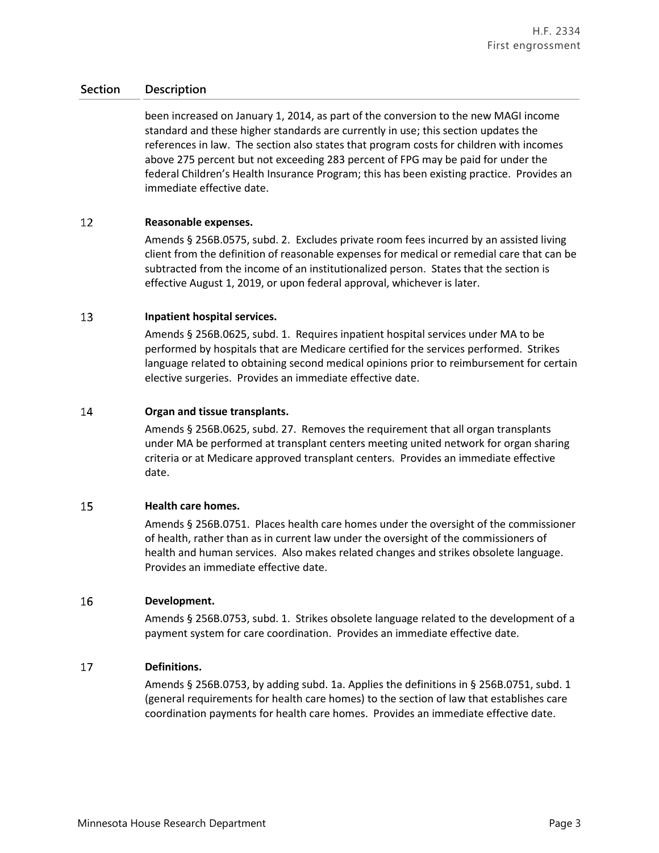### **Section Description**

been increased on January 1, 2014, as part of the conversion to the new MAGI income standard and these higher standards are currently in use; this section updates the references in law. The section also states that program costs for children with incomes above 275 percent but not exceeding 283 percent of FPG may be paid for under the federal Children's Health Insurance Program; this has been existing practice. Provides an immediate effective date.

#### 12 **Reasonable expenses.**

Amends § 256B.0575, subd. 2. Excludes private room fees incurred by an assisted living client from the definition of reasonable expenses for medical or remedial care that can be subtracted from the income of an institutionalized person. States that the section is effective August 1, 2019, or upon federal approval, whichever is later.

#### 13 **Inpatient hospital services.**

Amends § 256B.0625, subd. 1. Requires inpatient hospital services under MA to be performed by hospitals that are Medicare certified for the services performed. Strikes language related to obtaining second medical opinions prior to reimbursement for certain elective surgeries. Provides an immediate effective date.

#### 14 **Organ and tissue transplants.**

Amends § 256B.0625, subd. 27. Removes the requirement that all organ transplants under MA be performed at transplant centers meeting united network for organ sharing criteria or at Medicare approved transplant centers. Provides an immediate effective date.

#### 15 **Health care homes.**

Amends § 256B.0751. Places health care homes under the oversight of the commissioner of health, rather than as in current law under the oversight of the commissioners of health and human services. Also makes related changes and strikes obsolete language. Provides an immediate effective date.

#### 16 **Development.**

Amends § 256B.0753, subd. 1. Strikes obsolete language related to the development of a payment system for care coordination. Provides an immediate effective date.

#### 17 **Definitions.**

Amends § 256B.0753, by adding subd. 1a. Applies the definitions in § 256B.0751, subd. 1 (general requirements for health care homes) to the section of law that establishes care coordination payments for health care homes. Provides an immediate effective date.